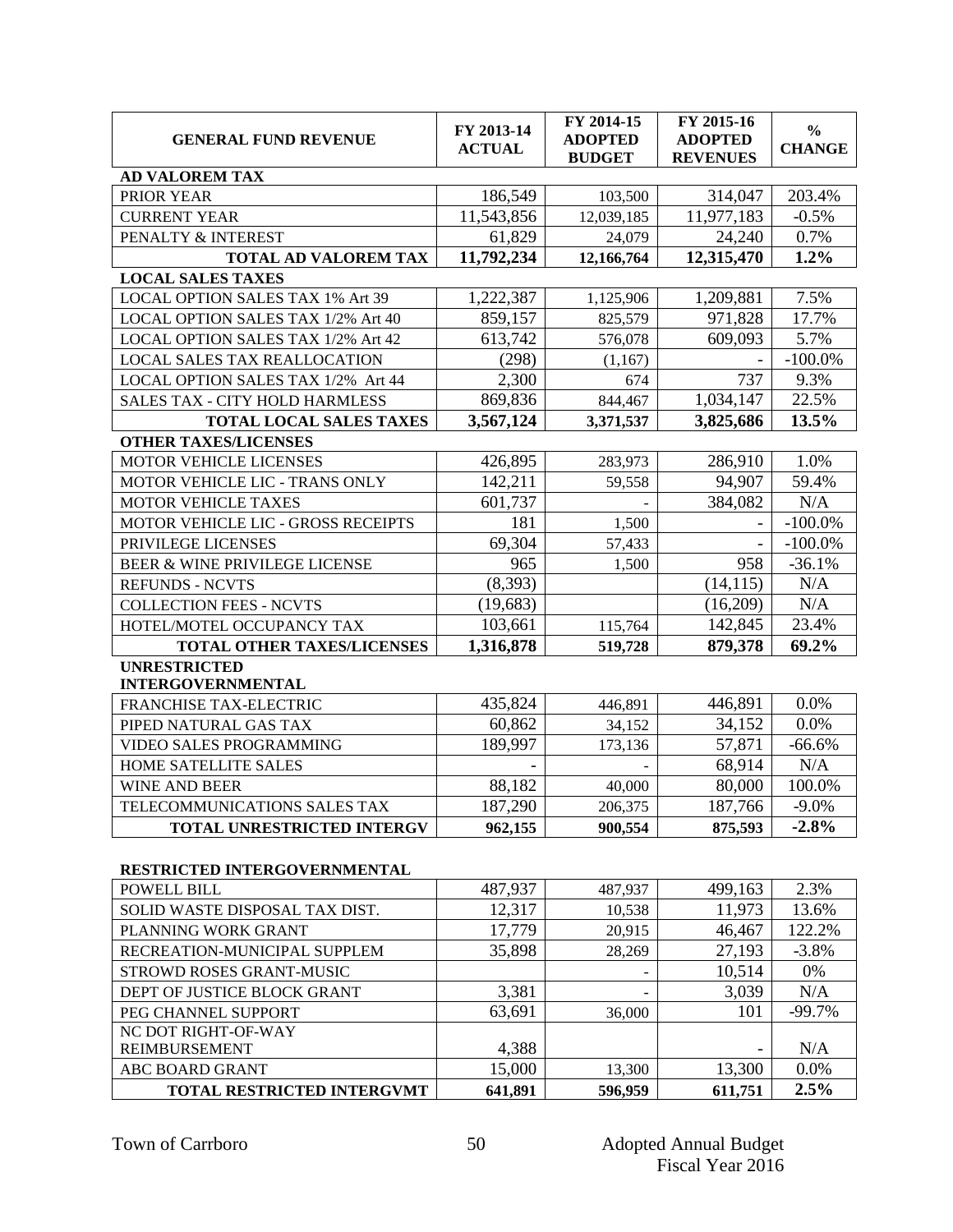| <b>GENERAL FUND REVENUE</b>                     | FY 2013-14<br><b>ACTUAL</b> | FY 2014-15<br><b>ADOPTED</b><br><b>BUDGET</b> | $\overline{FY}$ 2015-16<br><b>ADOPTED</b><br><b>REVENUES</b> | $\frac{0}{0}$<br><b>CHANGE</b> |
|-------------------------------------------------|-----------------------------|-----------------------------------------------|--------------------------------------------------------------|--------------------------------|
| <b>AD VALOREM TAX</b>                           |                             |                                               |                                                              |                                |
| PRIOR YEAR                                      | 186,549                     | 103,500                                       | 314,047                                                      | 203.4%                         |
| <b>CURRENT YEAR</b>                             | 11,543,856                  | 12,039,185                                    | 11,977,183                                                   | $-0.5%$                        |
| PENALTY & INTEREST                              | 61,829                      | 24,079                                        | 24,240                                                       | 0.7%                           |
| <b>TOTAL AD VALOREM TAX</b>                     | 11,792,234                  | 12,166,764                                    | 12,315,470                                                   | 1.2%                           |
| <b>LOCAL SALES TAXES</b>                        |                             |                                               |                                                              |                                |
| LOCAL OPTION SALES TAX 1% Art 39                | 1,222,387                   | 1,125,906                                     | 1,209,881                                                    | 7.5%                           |
| LOCAL OPTION SALES TAX 1/2% Art 40              | 859,157                     | 825,579                                       | 971,828                                                      | 17.7%                          |
| LOCAL OPTION SALES TAX 1/2% Art 42              | 613,742                     | 576,078                                       | 609,093                                                      | 5.7%                           |
| LOCAL SALES TAX REALLOCATION                    | (298)                       | (1,167)                                       |                                                              | $-100.0\%$                     |
| LOCAL OPTION SALES TAX 1/2% Art 44              | 2,300                       | 674                                           | 737                                                          | 9.3%                           |
| SALES TAX - CITY HOLD HARMLESS                  | 869,836                     | 844,467                                       | 1,034,147                                                    | 22.5%                          |
| <b>TOTAL LOCAL SALES TAXES</b>                  | 3,567,124                   | 3,371,537                                     | 3,825,686                                                    | 13.5%                          |
| <b>OTHER TAXES/LICENSES</b>                     |                             |                                               |                                                              |                                |
| MOTOR VEHICLE LICENSES                          | 426,895                     | 283,973                                       | 286,910                                                      | 1.0%                           |
| MOTOR VEHICLE LIC - TRANS ONLY                  | 142,211                     | 59,558                                        | 94,907                                                       | 59.4%                          |
| <b>MOTOR VEHICLE TAXES</b>                      | 601,737                     |                                               | 384,082                                                      | N/A                            |
| MOTOR VEHICLE LIC - GROSS RECEIPTS              | 181                         | 1,500                                         |                                                              | $-100.0\%$                     |
| PRIVILEGE LICENSES                              | 69,304                      | 57,433                                        |                                                              | $-100.0%$                      |
| BEER & WINE PRIVILEGE LICENSE                   | 965                         | 1,500                                         | 958                                                          | $-36.1%$                       |
| <b>REFUNDS - NCVTS</b>                          | (8,393)                     |                                               | (14, 115)                                                    | N/A                            |
| <b>COLLECTION FEES - NCVTS</b>                  | (19,683)                    |                                               | (16,209)                                                     | N/A                            |
| HOTEL/MOTEL OCCUPANCY TAX                       | 103,661                     | 115,764                                       | 142,845                                                      | 23.4%                          |
| TOTAL OTHER TAXES/LICENSES                      | 1,316,878                   | 519,728                                       | 879,378                                                      | 69.2%                          |
| <b>UNRESTRICTED</b><br><b>INTERGOVERNMENTAL</b> |                             |                                               |                                                              |                                |
| FRANCHISE TAX-ELECTRIC                          | 435,824                     | 446,891                                       | 446,891                                                      | 0.0%                           |
| PIPED NATURAL GAS TAX                           | 60,862                      | 34,152                                        | 34,152                                                       | 0.0%                           |
| VIDEO SALES PROGRAMMING                         | 189,997                     | 173,136                                       | 57,871                                                       | $-66.6%$                       |
| HOME SATELLITE SALES                            |                             |                                               | 68,914                                                       | N/A                            |
| <b>WINE AND BEER</b>                            | 88,182                      | 40,000                                        | 80,000                                                       | 100.0%                         |
| TELECOMMUNICATIONS SALES TAX                    | 187,290                     | 206,375                                       | 187,766                                                      | $-9.0%$                        |
| TOTAL UNRESTRICTED INTERGV                      | 962,155                     | 900,554                                       | 875,593                                                      | $-2.8%$                        |
| RESTRICTED INTERGOVERNMENTAL                    |                             |                                               |                                                              |                                |
| <b>POWELL BILL</b>                              | 487,937                     | 487,937                                       | 499,163                                                      | 2.3%                           |
| SOLID WASTE DISPOSAL TAX DIST.                  | 12,317                      | 10,538                                        | 11,973                                                       | 13.6%                          |
| PLANNING WORK GRANT                             | 17,779                      | 20,915                                        | 46,467                                                       | 122.2%                         |
| DECDE LTION MUNICIDAL SUDDLEM                   | 2500                        | 0.000                                         | 27,102                                                       | 2.00/                          |

| PLANNING WUKK GKANT               | 11.119  | <b>20,915</b> | 40.407  | 122.270  |
|-----------------------------------|---------|---------------|---------|----------|
| RECREATION-MUNICIPAL SUPPLEM      | 35,898  | 28,269        | 27,193  | $-3.8%$  |
| STROWD ROSES GRANT-MUSIC          |         |               | 10,514  | 0%       |
| DEPT OF JUSTICE BLOCK GRANT       | 3,381   | -             | 3,039   | N/A      |
| PEG CHANNEL SUPPORT               | 63,691  | 36,000        | 101     | $-99.7%$ |
| NC DOT RIGHT-OF-WAY               |         |               |         |          |
| <b>REIMBURSEMENT</b>              | 4,388   |               |         | N/A      |
| ABC BOARD GRANT                   | 15,000  | 13,300        | 13,300  | 0.0%     |
| <b>TOTAL RESTRICTED INTERGVMT</b> | 641,891 | 596,959       | 611,751 | 2.5%     |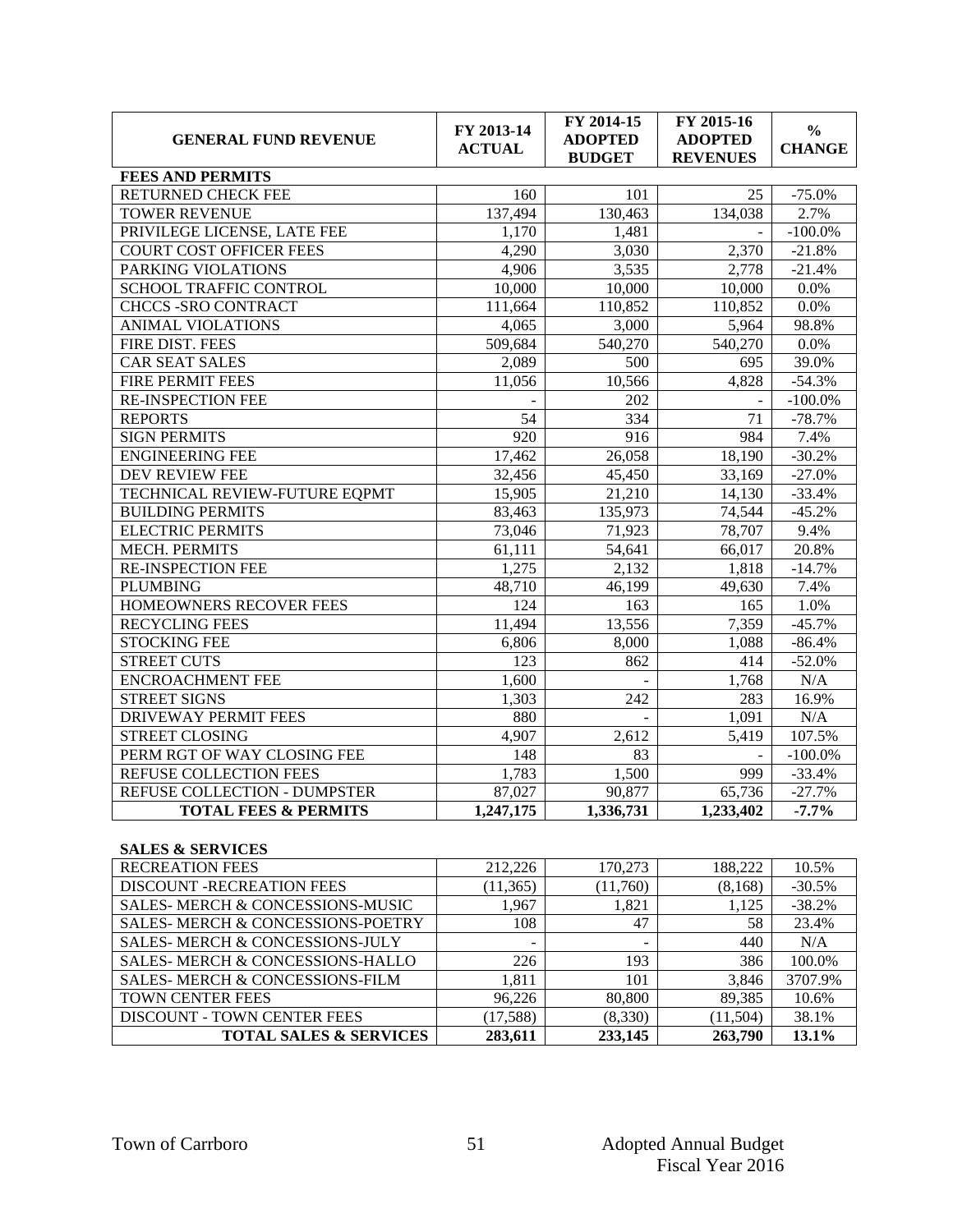| <b>GENERAL FUND REVENUE</b>     | FY 2013-14<br><b>ACTUAL</b> | FY 2014-15<br><b>ADOPTED</b><br><b>BUDGET</b> | FY 2015-16<br><b>ADOPTED</b><br><b>REVENUES</b> | $\frac{0}{0}$<br><b>CHANGE</b> |  |  |  |
|---------------------------------|-----------------------------|-----------------------------------------------|-------------------------------------------------|--------------------------------|--|--|--|
| <b>FEES AND PERMITS</b>         |                             |                                               |                                                 |                                |  |  |  |
| RETURNED CHECK FEE              | 160                         | 101                                           | 25                                              | $-75.0%$                       |  |  |  |
| <b>TOWER REVENUE</b>            | 137,494                     | 130,463                                       | 134,038                                         | 2.7%                           |  |  |  |
| PRIVILEGE LICENSE, LATE FEE     | 1,170                       | 1,481                                         |                                                 | $-100.0\%$                     |  |  |  |
| <b>COURT COST OFFICER FEES</b>  | 4,290                       | 3,030                                         | 2,370                                           | $-21.8%$                       |  |  |  |
| PARKING VIOLATIONS              | 4,906                       | 3,535                                         | 2,778                                           | $-21.4%$                       |  |  |  |
| SCHOOL TRAFFIC CONTROL          | 10,000                      | 10,000                                        | 10,000                                          | 0.0%                           |  |  |  |
| <b>CHCCS -SRO CONTRACT</b>      | 111,664                     | 110,852                                       | 110,852                                         | 0.0%                           |  |  |  |
| <b>ANIMAL VIOLATIONS</b>        | 4,065                       | 3,000                                         | 5,964                                           | 98.8%                          |  |  |  |
| FIRE DIST. FEES                 | 509,684                     | 540,270                                       | 540,270                                         | 0.0%                           |  |  |  |
| <b>CAR SEAT SALES</b>           | 2,089                       | 500                                           | 695                                             | 39.0%                          |  |  |  |
| <b>FIRE PERMIT FEES</b>         | 11,056                      | 10,566                                        | 4,828                                           | $-54.3%$                       |  |  |  |
| <b>RE-INSPECTION FEE</b>        |                             | 202                                           |                                                 | $-100.0%$                      |  |  |  |
| <b>REPORTS</b>                  | 54                          | 334                                           | 71                                              | $-78.7%$                       |  |  |  |
| <b>SIGN PERMITS</b>             | 920                         | 916                                           | 984                                             | 7.4%                           |  |  |  |
| <b>ENGINEERING FEE</b>          | 17,462                      | 26,058                                        | 18,190                                          | $-30.2%$                       |  |  |  |
| DEV REVIEW FEE                  | 32,456                      | 45,450                                        | 33,169                                          | $-27.0%$                       |  |  |  |
| TECHNICAL REVIEW-FUTURE EOPMT   | 15,905                      | 21,210                                        | 14,130                                          | $-33.4%$                       |  |  |  |
| <b>BUILDING PERMITS</b>         | 83,463                      | 135,973                                       | 74,544                                          | $-45.2%$                       |  |  |  |
| <b>ELECTRIC PERMITS</b>         | 73,046                      | 71,923                                        | 78,707                                          | 9.4%                           |  |  |  |
| <b>MECH. PERMITS</b>            | 61,111                      | 54,641                                        | 66.017                                          | 20.8%                          |  |  |  |
| <b>RE-INSPECTION FEE</b>        | 1,275                       | 2,132                                         | 1,818                                           | $-14.7%$                       |  |  |  |
| <b>PLUMBING</b>                 | 48,710                      | 46,199                                        | 49,630                                          | 7.4%                           |  |  |  |
| HOMEOWNERS RECOVER FEES         | 124                         | 163                                           | 165                                             | 1.0%                           |  |  |  |
| <b>RECYCLING FEES</b>           | 11,494                      | 13,556                                        | 7,359                                           | $-45.7%$                       |  |  |  |
| <b>STOCKING FEE</b>             | 6,806                       | 8,000                                         | 1,088                                           | $-86.4%$                       |  |  |  |
| <b>STREET CUTS</b>              | 123                         | 862                                           | 414                                             | $-52.0%$                       |  |  |  |
| <b>ENCROACHMENT FEE</b>         | 1,600                       |                                               | 1,768                                           | N/A                            |  |  |  |
| <b>STREET SIGNS</b>             | 1,303                       | 242                                           | 283                                             | 16.9%                          |  |  |  |
| <b>DRIVEWAY PERMIT FEES</b>     | 880                         |                                               | 1,091                                           | N/A                            |  |  |  |
| <b>STREET CLOSING</b>           | 4,907                       | 2,612                                         | 5,419                                           | 107.5%                         |  |  |  |
| PERM RGT OF WAY CLOSING FEE     | 148                         | 83                                            |                                                 | $-100.0\%$                     |  |  |  |
| REFUSE COLLECTION FEES          | 1,783                       | 1,500                                         | 999                                             | $-33.4%$                       |  |  |  |
| REFUSE COLLECTION - DUMPSTER    | 87,027                      | 90,877                                        | 65,736                                          | $-27.7%$                       |  |  |  |
| <b>TOTAL FEES &amp; PERMITS</b> | 1,247,175                   | 1,336,731                                     | 1,233,402                                       | $-7.7%$                        |  |  |  |

### **SALES & SERVICES**

| <b>RECREATION FEES</b>                      | 212,226   | 170,273                  | 188,222   | 10.5%    |
|---------------------------------------------|-----------|--------------------------|-----------|----------|
| <b>DISCOUNT -RECREATION FEES</b>            | (11, 365) | (11,760)                 | (8, 168)  | $-30.5%$ |
| SALES-MERCH & CONCESSIONS-MUSIC             | 1,967     | 1,821                    | 1,125     | $-38.2%$ |
| <b>SALES-MERCH &amp; CONCESSIONS-POETRY</b> | 108       | 47                       | 58        | 23.4%    |
| SALES-MERCH & CONCESSIONS-JULY              | -         | $\overline{\phantom{0}}$ | 440       | N/A      |
| <b>SALES-MERCH &amp; CONCESSIONS-HALLO</b>  | 226       | 193                      | 386       | 100.0%   |
| SALES-MERCH & CONCESSIONS-FILM              | 1,811     | 101                      | 3,846     | 3707.9%  |
| <b>TOWN CENTER FEES</b>                     | 96,226    | 80,800                   | 89,385    | 10.6%    |
| <b>DISCOUNT - TOWN CENTER FEES</b>          | (17, 588) | (8,330)                  | (11, 504) | 38.1%    |
| <b>TOTAL SALES &amp; SERVICES</b>           | 283,611   | 233,145                  | 263,790   | 13.1%    |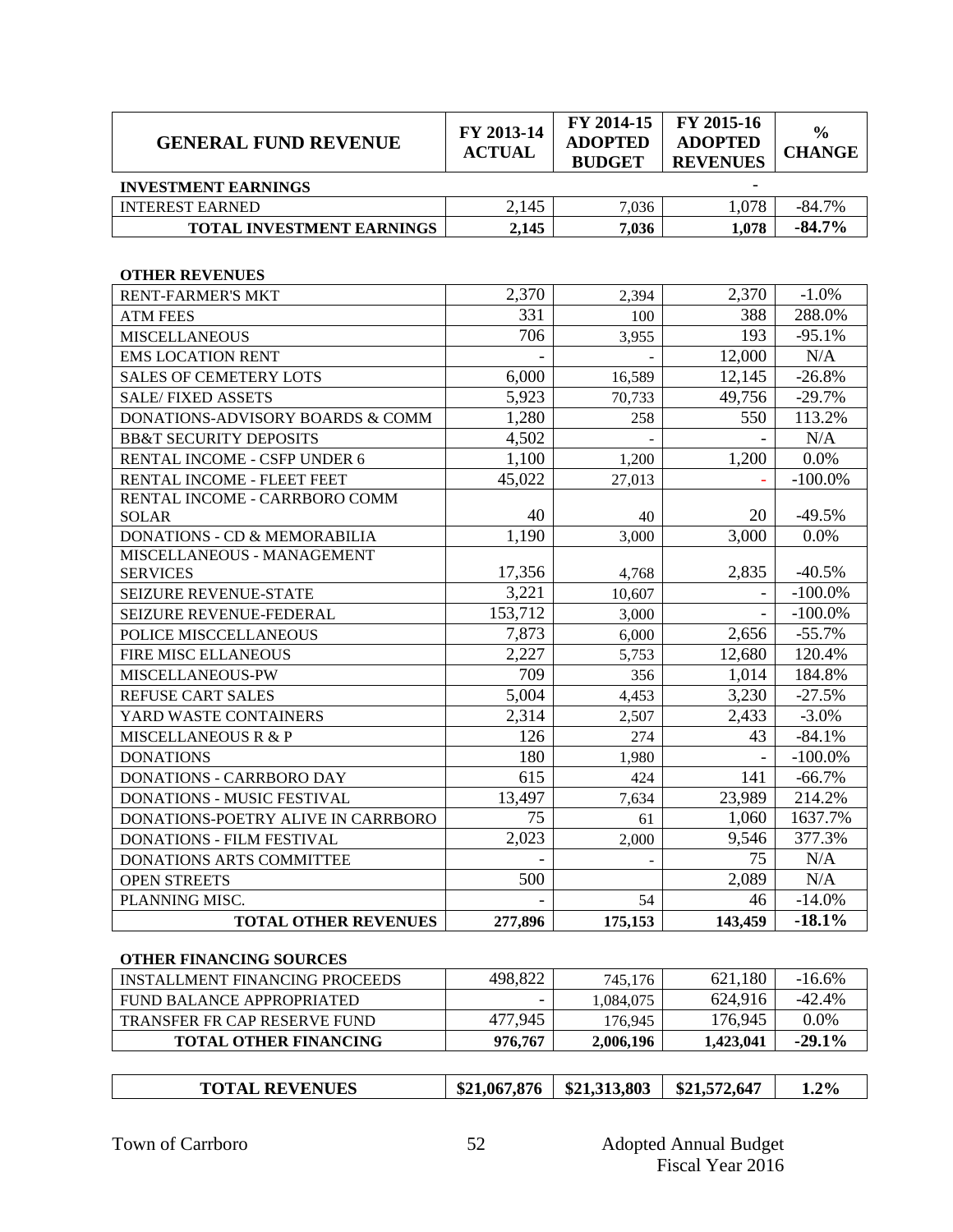| <b>GENERAL FUND REVENUE</b>             | FY 2013-14<br><b>ACTUAL</b> | FY 2014-15<br><b>ADOPTED</b><br><b>BUDGET</b> | FY 2015-16<br><b>ADOPTED</b><br><b>REVENUES</b> | $\frac{0}{0}$<br><b>CHANGE</b> |
|-----------------------------------------|-----------------------------|-----------------------------------------------|-------------------------------------------------|--------------------------------|
| <b>INVESTMENT EARNINGS</b>              |                             |                                               |                                                 |                                |
| <b>INTEREST EARNED</b>                  | 2,145                       | 7,036                                         | 1,078                                           | $-84.7%$                       |
| TOTAL INVESTMENT EARNINGS               | 2,145                       | 7,036                                         | 1,078                                           | $-84.7%$                       |
| <b>OTHER REVENUES</b>                   |                             |                                               |                                                 |                                |
| <b>RENT-FARMER'S MKT</b>                | 2,370                       | 2,394                                         | 2,370                                           | $-1.0%$                        |
| <b>ATM FEES</b>                         | 331                         | 100                                           | 388                                             | 288.0%                         |
| <b>MISCELLANEOUS</b>                    | 706                         | 3,955                                         | 193                                             | $-95.1%$                       |
| <b>EMS LOCATION RENT</b>                |                             |                                               | 12,000                                          | N/A                            |
| <b>SALES OF CEMETERY LOTS</b>           | 6,000                       | 16,589                                        | 12,145                                          | $-26.8%$                       |
| <b>SALE/FIXED ASSETS</b>                | 5,923                       | 70,733                                        | 49,756                                          | $-29.7%$                       |
| DONATIONS-ADVISORY BOARDS & COMM        | 1,280                       | 258                                           | 550                                             | 113.2%                         |
| <b>BB&amp;T SECURITY DEPOSITS</b>       | 4,502                       |                                               |                                                 | N/A                            |
| RENTAL INCOME - CSFP UNDER 6            | 1,100                       | 1,200                                         | 1,200                                           | 0.0%                           |
| RENTAL INCOME - FLEET FEET              | 45,022                      | 27,013                                        |                                                 | $-100.0\%$                     |
| RENTAL INCOME - CARRBORO COMM           |                             |                                               |                                                 |                                |
| <b>SOLAR</b>                            | 40                          | 40                                            | 20                                              | $-49.5%$                       |
| <b>DONATIONS - CD &amp; MEMORABILIA</b> | 1,190                       | 3,000                                         | 3,000                                           | 0.0%                           |
| MISCELLANEOUS - MANAGEMENT              |                             |                                               |                                                 |                                |
| <b>SERVICES</b>                         | 17,356                      | 4,768                                         | 2,835                                           | $-40.5%$                       |
| SEIZURE REVENUE-STATE                   | 3,221                       | 10,607                                        |                                                 | $-100.0\%$                     |
| SEIZURE REVENUE-FEDERAL                 | 153,712                     | 3,000                                         |                                                 | $-100.0\%$                     |
| POLICE MISCCELLANEOUS                   | 7,873                       | 6,000                                         | 2,656                                           | $-55.7%$                       |
| FIRE MISC ELLANEOUS                     | 2,227                       | 5,753                                         | 12,680                                          | 120.4%                         |
| MISCELLANEOUS-PW                        | 709                         | 356                                           | 1,014                                           | 184.8%                         |
| REFUSE CART SALES                       | 5,004                       | 4,453                                         | 3,230                                           | $-27.5%$                       |
| YARD WASTE CONTAINERS                   | 2,314                       | 2,507                                         | 2,433                                           | $-3.0\%$                       |
| <b>MISCELLANEOUS R &amp; P</b>          | 126                         | 274                                           | 43                                              | $-84.1%$                       |
| <b>DONATIONS</b>                        | 180                         | 1,980                                         |                                                 | $-100.0\%$                     |
| DONATIONS - CARRBORO DAY                | 615                         | 424                                           | 141                                             | $-66.7%$                       |
| <b>DONATIONS - MUSIC FESTIVAL</b>       | 13,497                      | 7,634                                         | 23,989                                          | 214.2%                         |
| DONATIONS-POETRY ALIVE IN CARRBORO      | 75                          | 61                                            | 1,060                                           | 1637.7%                        |
| DONATIONS - FILM FESTIVAL               | 2,023                       | 2,000                                         | 9,546                                           | 377.3%                         |
| DONATIONS ARTS COMMITTEE                |                             |                                               | 75                                              | N/A                            |
| <b>OPEN STREETS</b>                     | 500                         |                                               | 2,089                                           | N/A                            |
| PLANNING MISC.                          |                             | 54                                            | 46                                              | $-14.0%$                       |
| <b>TOTAL OTHER REVENUES</b>             | 277,896                     | 175,153                                       | 143,459                                         | $-18.1%$                       |

#### **OTHER FINANCING SOURCES**

| INSTALLMENT FINANCING PROCEEDS | 498.822                  | 745.176   | 621.180   | $-16.6%$  |
|--------------------------------|--------------------------|-----------|-----------|-----------|
| FUND BALANCE APPROPRIATED      | $\overline{\phantom{a}}$ | 1.084.075 | 624.916   | $-42.4%$  |
| TRANSFER FR CAP RESERVE FUND   | 477.945                  | 176.945   | 176,945   | $0.0\%$   |
| <b>TOTAL OTHER FINANCING</b>   | 976,767                  | 2.006.196 | 1,423,041 | $-29.1\%$ |

|--|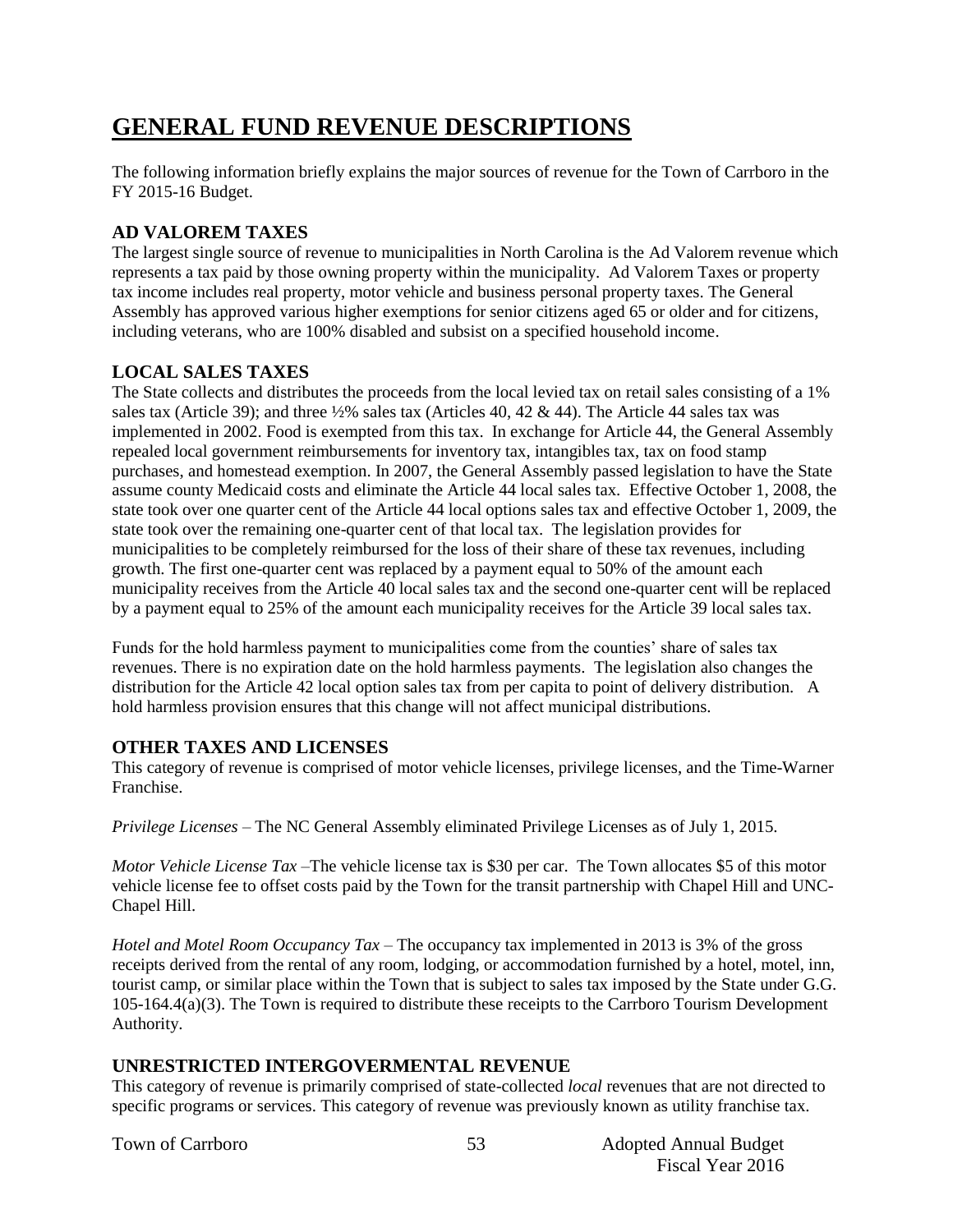# **GENERAL FUND REVENUE DESCRIPTIONS**

The following information briefly explains the major sources of revenue for the Town of Carrboro in the FY 2015-16 Budget.

## **AD VALOREM TAXES**

The largest single source of revenue to municipalities in North Carolina is the Ad Valorem revenue which represents a tax paid by those owning property within the municipality. Ad Valorem Taxes or property tax income includes real property, motor vehicle and business personal property taxes. The General Assembly has approved various higher exemptions for senior citizens aged 65 or older and for citizens, including veterans, who are 100% disabled and subsist on a specified household income.

## **LOCAL SALES TAXES**

The State collects and distributes the proceeds from the local levied tax on retail sales consisting of a 1% sales tax (Article 39); and three ½% sales tax (Articles 40, 42 & 44). The Article 44 sales tax was implemented in 2002. Food is exempted from this tax. In exchange for Article 44, the General Assembly repealed local government reimbursements for inventory tax, intangibles tax, tax on food stamp purchases, and homestead exemption. In 2007, the General Assembly passed legislation to have the State assume county Medicaid costs and eliminate the Article 44 local sales tax. Effective October 1, 2008, the state took over one quarter cent of the Article 44 local options sales tax and effective October 1, 2009, the state took over the remaining one-quarter cent of that local tax. The legislation provides for municipalities to be completely reimbursed for the loss of their share of these tax revenues, including growth. The first one-quarter cent was replaced by a payment equal to 50% of the amount each municipality receives from the Article 40 local sales tax and the second one-quarter cent will be replaced by a payment equal to 25% of the amount each municipality receives for the Article 39 local sales tax.

Funds for the hold harmless payment to municipalities come from the counties' share of sales tax revenues. There is no expiration date on the hold harmless payments. The legislation also changes the distribution for the Article 42 local option sales tax from per capita to point of delivery distribution. A hold harmless provision ensures that this change will not affect municipal distributions.

## **OTHER TAXES AND LICENSES**

This category of revenue is comprised of motor vehicle licenses, privilege licenses, and the Time-Warner Franchise.

*Privilege Licenses* – The NC General Assembly eliminated Privilege Licenses as of July 1, 2015.

*Motor Vehicle License Tax* –The vehicle license tax is \$30 per car. The Town allocates \$5 of this motor vehicle license fee to offset costs paid by the Town for the transit partnership with Chapel Hill and UNC-Chapel Hill.

*Hotel and Motel Room Occupancy Tax* – The occupancy tax implemented in 2013 is 3% of the gross receipts derived from the rental of any room, lodging, or accommodation furnished by a hotel, motel, inn, tourist camp, or similar place within the Town that is subject to sales tax imposed by the State under G.G. 105-164.4(a)(3). The Town is required to distribute these receipts to the Carrboro Tourism Development Authority.

## **UNRESTRICTED INTERGOVERMENTAL REVENUE**

This category of revenue is primarily comprised of state-collected *local* revenues that are not directed to specific programs or services. This category of revenue was previously known as utility franchise tax.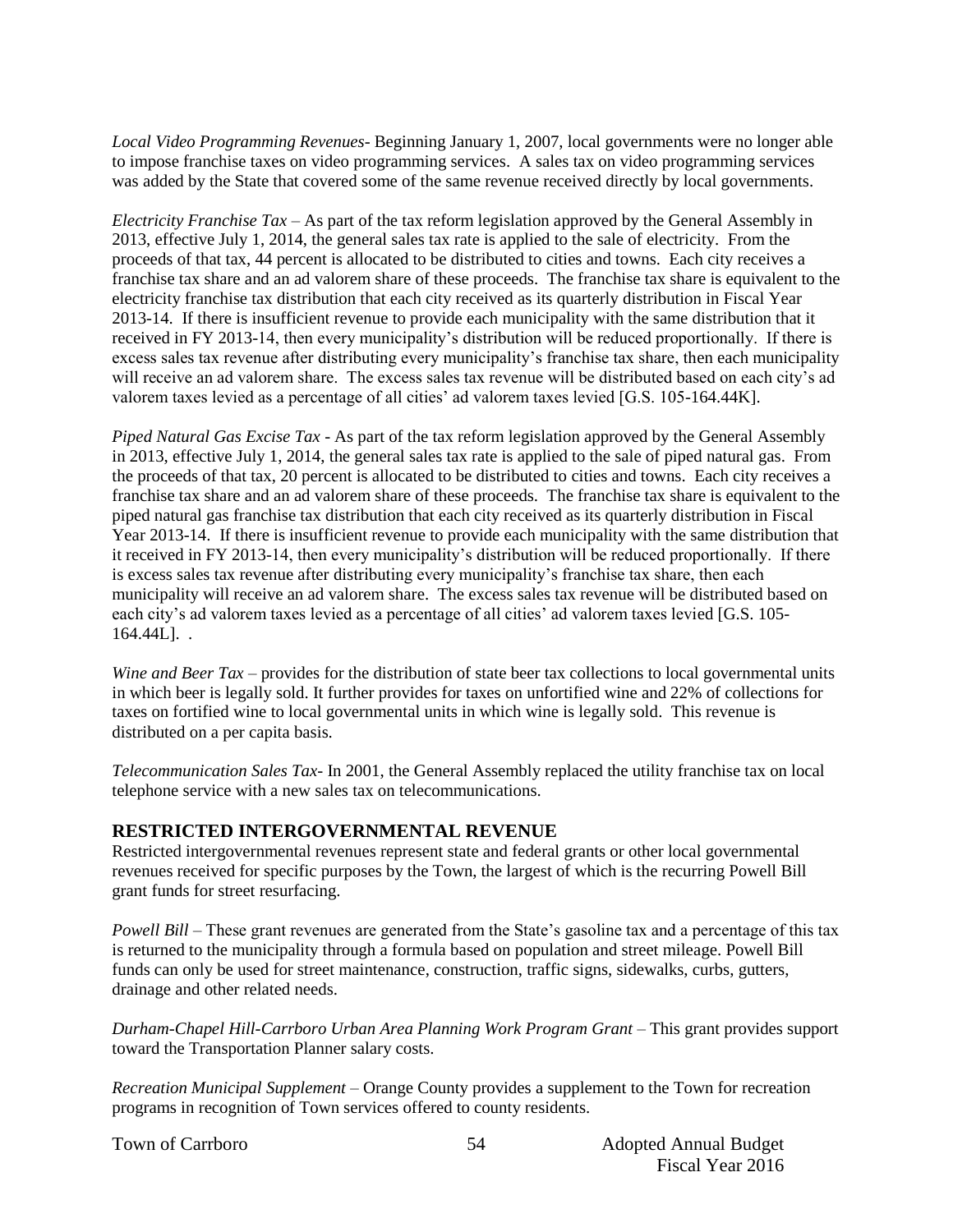*Local Video Programming Revenues*- Beginning January 1, 2007, local governments were no longer able to impose franchise taxes on video programming services. A sales tax on video programming services was added by the State that covered some of the same revenue received directly by local governments.

*Electricity Franchise Tax* – As part of the tax reform legislation approved by the General Assembly in 2013, effective July 1, 2014, the general sales tax rate is applied to the sale of electricity. From the proceeds of that tax, 44 percent is allocated to be distributed to cities and towns. Each city receives a franchise tax share and an ad valorem share of these proceeds. The franchise tax share is equivalent to the electricity franchise tax distribution that each city received as its quarterly distribution in Fiscal Year 2013-14. If there is insufficient revenue to provide each municipality with the same distribution that it received in FY 2013-14, then every municipality's distribution will be reduced proportionally. If there is excess sales tax revenue after distributing every municipality's franchise tax share, then each municipality will receive an ad valorem share. The excess sales tax revenue will be distributed based on each city's ad valorem taxes levied as a percentage of all cities' ad valorem taxes levied [G.S. 105-164.44K].

*Piped Natural Gas Excise Tax* - As part of the tax reform legislation approved by the General Assembly in 2013, effective July 1, 2014, the general sales tax rate is applied to the sale of piped natural gas. From the proceeds of that tax, 20 percent is allocated to be distributed to cities and towns. Each city receives a franchise tax share and an ad valorem share of these proceeds. The franchise tax share is equivalent to the piped natural gas franchise tax distribution that each city received as its quarterly distribution in Fiscal Year 2013-14. If there is insufficient revenue to provide each municipality with the same distribution that it received in FY 2013-14, then every municipality's distribution will be reduced proportionally. If there is excess sales tax revenue after distributing every municipality's franchise tax share, then each municipality will receive an ad valorem share. The excess sales tax revenue will be distributed based on each city's ad valorem taxes levied as a percentage of all cities' ad valorem taxes levied [G.S. 105- 164.44L]. .

*Wine and Beer Tax* – provides for the distribution of state beer tax collections to local governmental units in which beer is legally sold. It further provides for taxes on unfortified wine and 22% of collections for taxes on fortified wine to local governmental units in which wine is legally sold. This revenue is distributed on a per capita basis.

*Telecommunication Sales Tax*- In 2001, the General Assembly replaced the utility franchise tax on local telephone service with a new sales tax on telecommunications.

#### **RESTRICTED INTERGOVERNMENTAL REVENUE**

Restricted intergovernmental revenues represent state and federal grants or other local governmental revenues received for specific purposes by the Town, the largest of which is the recurring Powell Bill grant funds for street resurfacing.

*Powell Bill* – These grant revenues are generated from the State's gasoline tax and a percentage of this tax is returned to the municipality through a formula based on population and street mileage. Powell Bill funds can only be used for street maintenance, construction, traffic signs, sidewalks, curbs, gutters, drainage and other related needs.

*Durham-Chapel Hill-Carrboro Urban Area Planning Work Program Grant* – This grant provides support toward the Transportation Planner salary costs.

*Recreation Municipal Supplement –* Orange County provides a supplement to the Town for recreation programs in recognition of Town services offered to county residents.

54

Town of Carrboro **Adopted Annual Budget** 54 Adopted Annual Budget Fiscal Year 2016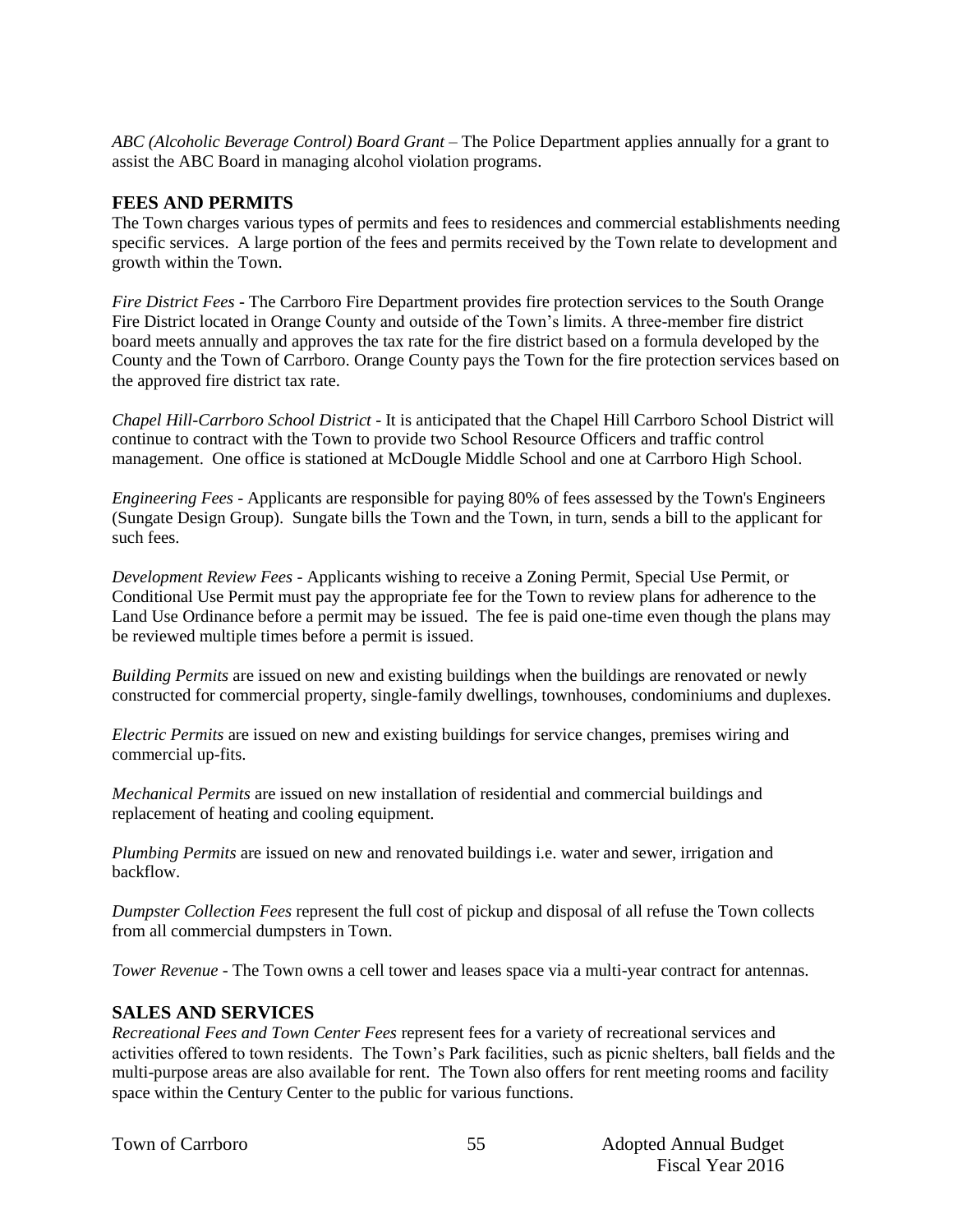*ABC (Alcoholic Beverage Control) Board Grant* – The Police Department applies annually for a grant to assist the ABC Board in managing alcohol violation programs.

#### **FEES AND PERMITS**

The Town charges various types of permits and fees to residences and commercial establishments needing specific services. A large portion of the fees and permits received by the Town relate to development and growth within the Town.

*Fire District Fees* - The Carrboro Fire Department provides fire protection services to the South Orange Fire District located in Orange County and outside of the Town's limits. A three-member fire district board meets annually and approves the tax rate for the fire district based on a formula developed by the County and the Town of Carrboro. Orange County pays the Town for the fire protection services based on the approved fire district tax rate.

*Chapel Hill-Carrboro School District* - It is anticipated that the Chapel Hill Carrboro School District will continue to contract with the Town to provide two School Resource Officers and traffic control management. One office is stationed at McDougle Middle School and one at Carrboro High School.

*Engineering Fees* - Applicants are responsible for paying 80% of fees assessed by the Town's Engineers (Sungate Design Group). Sungate bills the Town and the Town, in turn, sends a bill to the applicant for such fees.

*Development Review Fees* - Applicants wishing to receive a Zoning Permit, Special Use Permit, or Conditional Use Permit must pay the appropriate fee for the Town to review plans for adherence to the Land Use Ordinance before a permit may be issued. The fee is paid one-time even though the plans may be reviewed multiple times before a permit is issued.

*Building Permits* are issued on new and existing buildings when the buildings are renovated or newly constructed for commercial property, single-family dwellings, townhouses, condominiums and duplexes.

*Electric Permits* are issued on new and existing buildings for service changes, premises wiring and commercial up-fits.

*Mechanical Permits* are issued on new installation of residential and commercial buildings and replacement of heating and cooling equipment.

*Plumbing Permits* are issued on new and renovated buildings i.e. water and sewer, irrigation and backflow.

*Dumpster Collection Fees* represent the full cost of pickup and disposal of all refuse the Town collects from all commercial dumpsters in Town.

*Tower Revenue* - The Town owns a cell tower and leases space via a multi-year contract for antennas.

#### **SALES AND SERVICES**

*Recreational Fees and Town Center Fees* represent fees for a variety of recreational services and activities offered to town residents. The Town's Park facilities, such as picnic shelters, ball fields and the multi-purpose areas are also available for rent. The Town also offers for rent meeting rooms and facility space within the Century Center to the public for various functions.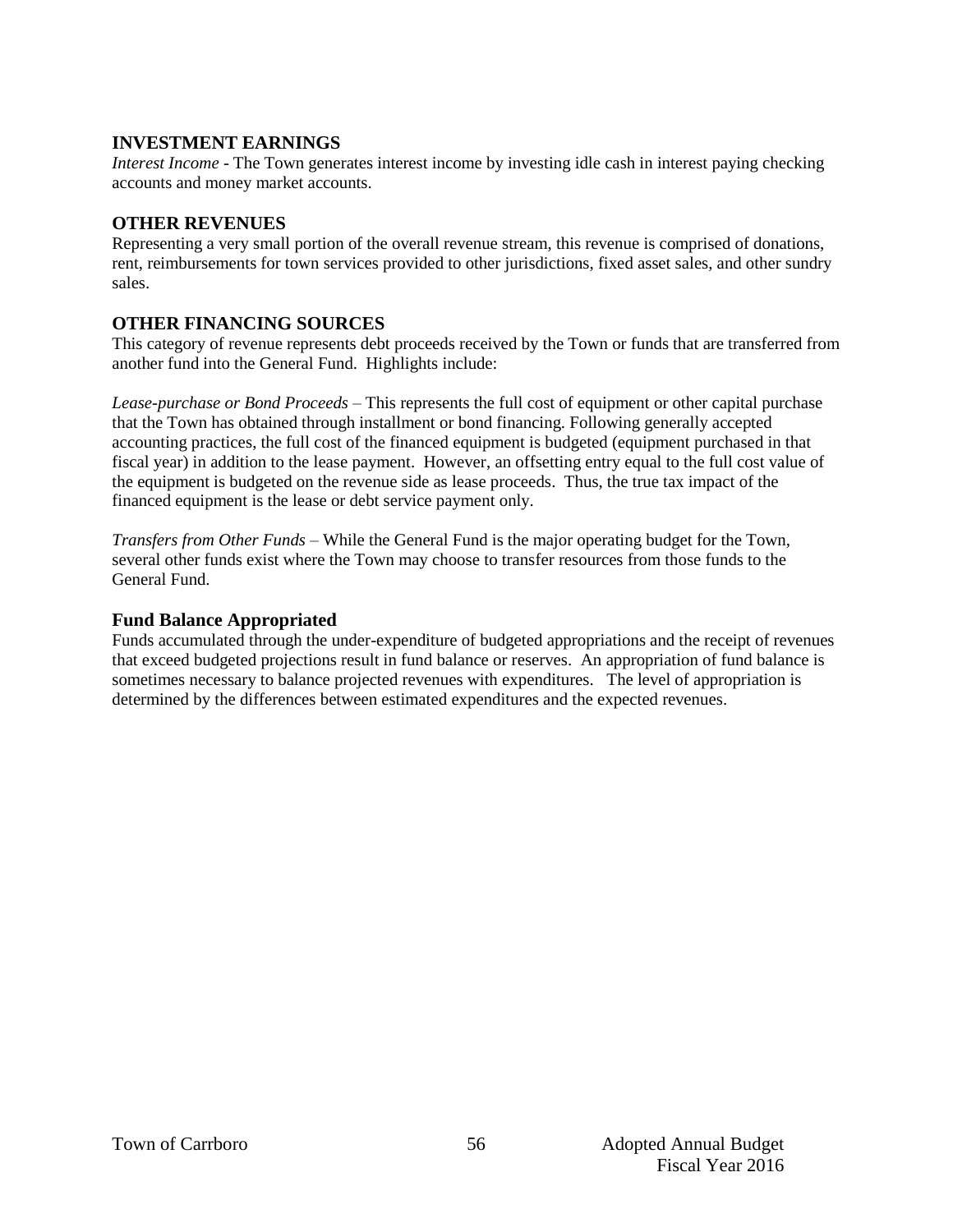#### **INVESTMENT EARNINGS**

*Interest Income* - The Town generates interest income by investing idle cash in interest paying checking accounts and money market accounts.

#### **OTHER REVENUES**

Representing a very small portion of the overall revenue stream, this revenue is comprised of donations, rent, reimbursements for town services provided to other jurisdictions, fixed asset sales, and other sundry sales.

#### **OTHER FINANCING SOURCES**

This category of revenue represents debt proceeds received by the Town or funds that are transferred from another fund into the General Fund. Highlights include:

*Lease-purchase or Bond Proceeds –* This represents the full cost of equipment or other capital purchase that the Town has obtained through installment or bond financing. Following generally accepted accounting practices, the full cost of the financed equipment is budgeted (equipment purchased in that fiscal year) in addition to the lease payment. However, an offsetting entry equal to the full cost value of the equipment is budgeted on the revenue side as lease proceeds. Thus, the true tax impact of the financed equipment is the lease or debt service payment only.

*Transfers from Other Funds –* While the General Fund is the major operating budget for the Town, several other funds exist where the Town may choose to transfer resources from those funds to the General Fund.

#### **Fund Balance Appropriated**

Funds accumulated through the under-expenditure of budgeted appropriations and the receipt of revenues that exceed budgeted projections result in fund balance or reserves. An appropriation of fund balance is sometimes necessary to balance projected revenues with expenditures. The level of appropriation is determined by the differences between estimated expenditures and the expected revenues.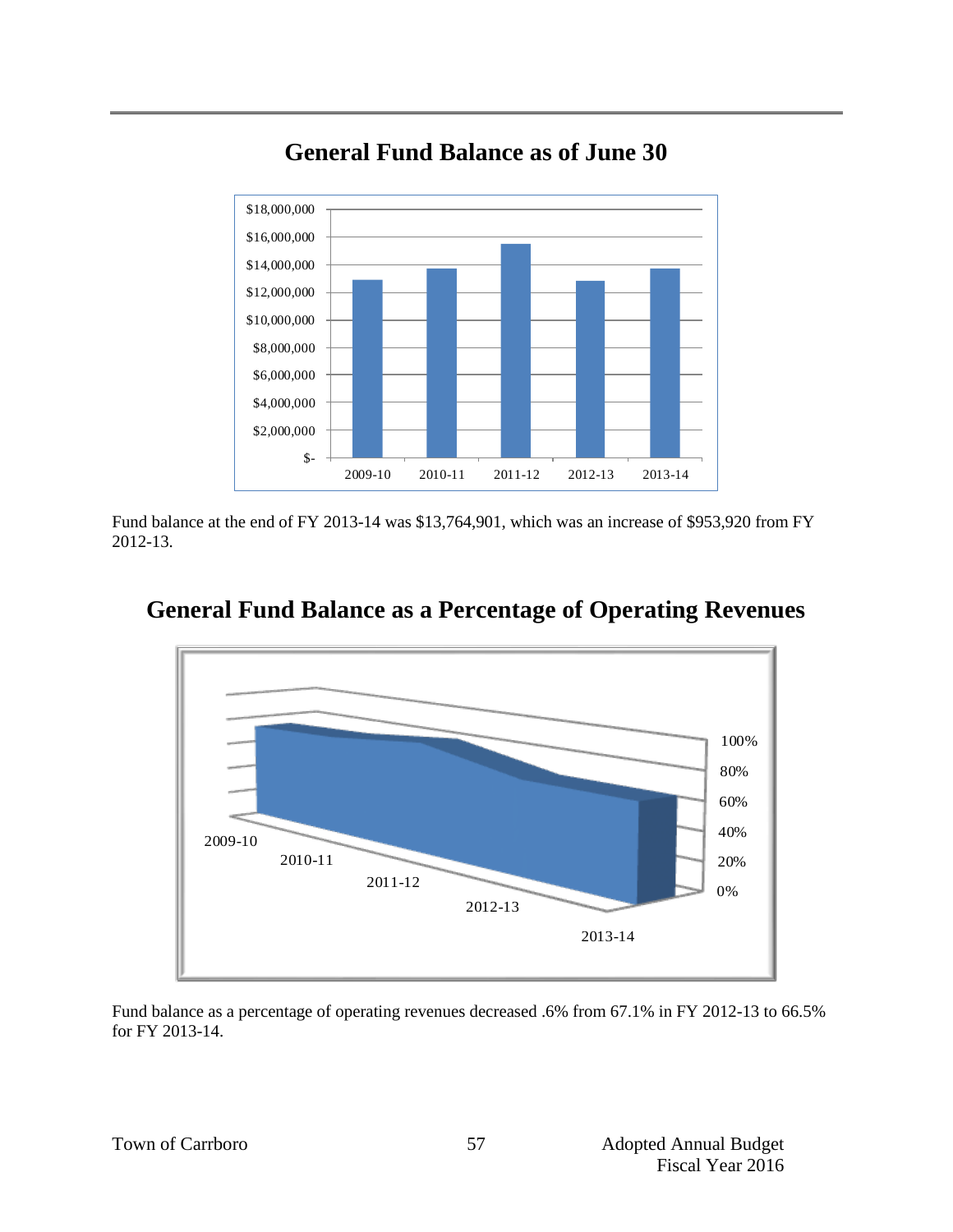

# **General Fund Balance as of June 30**

Fund balance at the end of FY 2013-14 was \$13,764,901, which was an increase of \$953,920 from FY 2012-13.



## **General Fund Balance as a Percentage of Operating Revenues**

Fund balance as a percentage of operating revenues decreased .6% from 67.1% in FY 2012-13 to 66.5% for FY 2013-14.